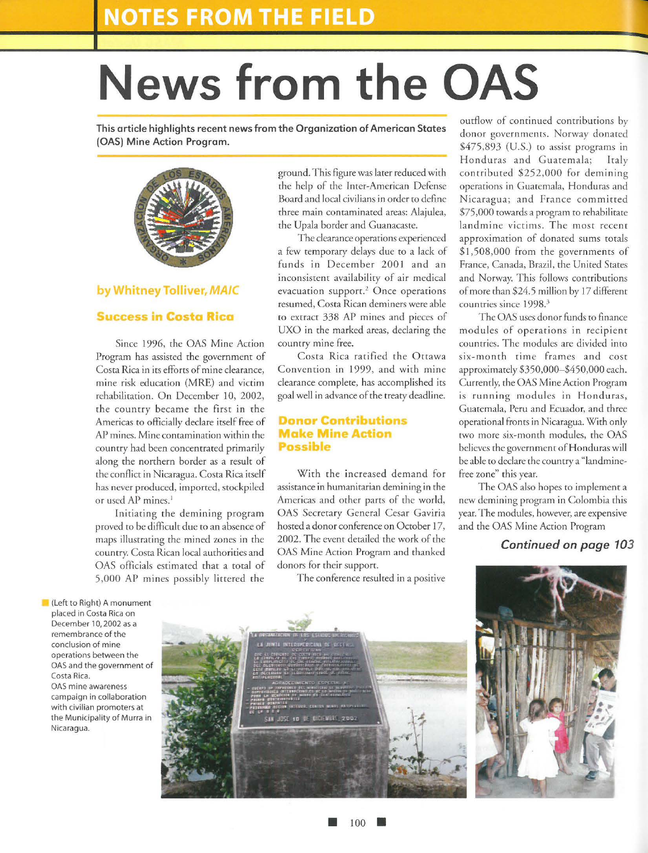# **News from the OAS**

**This article highlights recent news from the Organization of American States (OAS) Mine Action Program.** 



### **by Whitney Tolliver, MAIC**

#### **Success in Costa Rica**

Since 1996, the OAS Mine Action Program has assisted the government of Costa Rica in irs efforts of mine clearance, mine risk education (MRE) and victim rehabilitation. On December 10, 2002, the country became the first in the Americas to officially declare itself free of AP mines. Mine contamination within the country had been concentrated primarily along the northern border as a result of the conflict in Nicaragua. Costa Rica itself has never produced, imported, stockpiled or used AP mines.<sup>1</sup>

Initiating the demining program proved to be difficult due to an absence of maps illustrating the mined zones in the country. Costa Rican local authorities and OAS officials estimated that a total of 5,000 AP mines possibly littered the

ground. This figure was later reduced with the help of the Inter-American Defense Board and local civilians in order to define three main contaminated areas: Alajulea, the Upala border and Guanacaste.

The clearance operations experienced a few temporary delays due to a lack of funds in December 2001 and an inconsistent availability of air medical evacuation support.<sup>2</sup> Once operations resumed, Costa Rican deminers were able to extract 338 AP mines and pieces of UXO in the marked areas, declaring the country mine free.

Costa Rica ratified the Ottawa Convention in 1999, and with mine clearance complete, has accomplished irs goal well in advance of the treaty deadline.

#### **onor Contributions Make Mine Action ossible**

With the increased demand for assistance in humanitarian demining in the Americas and other parts of the world, OAS Secretary General Cesar Gaviria hosted a donor conference on October 17, 2002. The event derailed rhe work of the OAS Mine Action Program and thanked donors for their support.

The conference resulted in a positive

outflow of continued contributions by donor governments. Norway donated \$475,893 (U.S.) to assist programs in Honduras and Guatemala; Italy contributed \$252,000 for demining operations in Guatemala, Honduras and Nicaragua; and France committed \$75,000 towards a program to rehabilitate landmine victims. The most recent approximation of donated sums totals  $$1,508,000$  from the governments of France, Canada, Brazil, the United States and Norway. This follows contributions of more than \$24.5 million by 17 different countries since 1998.3

:<br>|<br>|

The OAS uses donor funds to finance modules of operations in recipient countries. The modules are divided into six-month rime frames and cost approximately \$350,000-\$450,000 each. Currently, the OAS Mine Action Program is running modules in Honduras, Guatemala, Peru and Ecuador, and three operational fronts in Nicaragua. With only two more six-month modules, the OAS believes rhe governmenr of Honduras will be able to declare the country a "landminefree zone" this year.

The OAS also hopes to implement a new demining program in Colombia this year. The modules, however, are expensive and the OAS Mine Action Program

#### *Continued on page 103*

(Left to Right) A monument placed in Costa Rica on December 10, 2002 as a remembrance of the conclusion of mine operations between the OAS and the government of Costa Rica. OAS mine awareness campaign in collaboration with civilian promoters at the Municipality of Murra in Nicaragua.